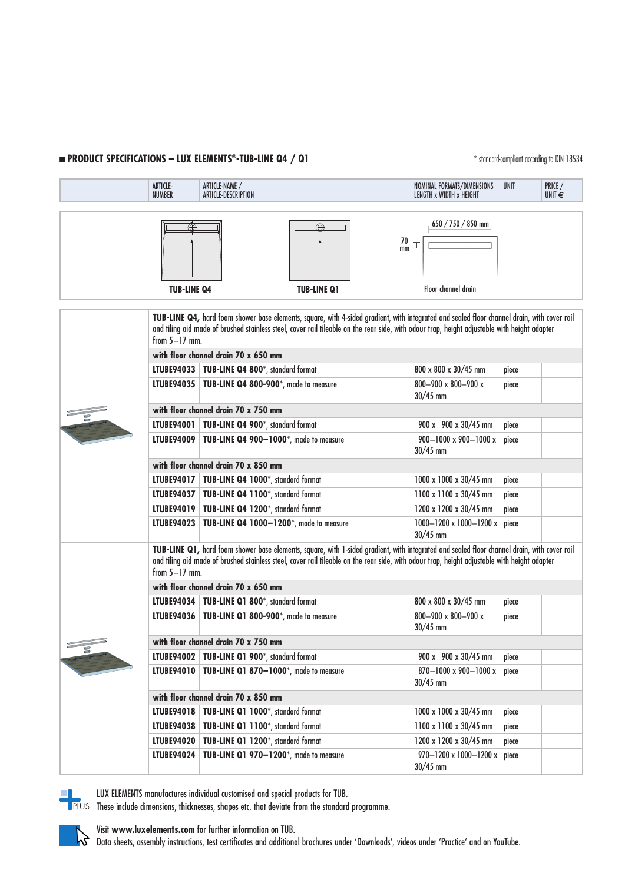# **n PRODUCT SPECIFICATIONS – LUX ELEMENTS<sup>®</sup>-TUB-LINE Q4 / Q1**  $*$  standard-compliant according to DIN 18534

|                                   | <b>ARTICLE-</b><br><b>NUMBER</b>                                                                                                                                                                                                                                                                               | ARTICLE-NAME /<br>ARTICLE-DESCRIPTION                | NOMINAL FORMATS/DIMENSIONS<br>LENGTH x WIDTH x HEIGHT | <b>UNIT</b>                                           | PRICE /<br>UNIT $\epsilon$ |  |  |  |  |
|-----------------------------------|----------------------------------------------------------------------------------------------------------------------------------------------------------------------------------------------------------------------------------------------------------------------------------------------------------------|------------------------------------------------------|-------------------------------------------------------|-------------------------------------------------------|----------------------------|--|--|--|--|
|                                   |                                                                                                                                                                                                                                                                                                                |                                                      |                                                       |                                                       |                            |  |  |  |  |
|                                   |                                                                                                                                                                                                                                                                                                                |                                                      | $\frac{70}{mm}$                                       | $650 / 750 / 850$ mm                                  |                            |  |  |  |  |
| <b>TUB-LINE Q4</b>                |                                                                                                                                                                                                                                                                                                                |                                                      | <b>TUB-LINE Q1</b>                                    | Floor channel drain                                   |                            |  |  |  |  |
|                                   | TUB-LINE Q4, hard foam shower base elements, square, with 4-sided gradient, with integrated and sealed floor channel drain, with cover rail<br>and tiling aid made of brushed stainless steel, cover rail tileable on the rear side, with odour trap, height adjustable with height adapter<br>from $5-17$ mm. |                                                      |                                                       |                                                       |                            |  |  |  |  |
|                                   | with floor channel drain 70 x 650 mm                                                                                                                                                                                                                                                                           |                                                      |                                                       |                                                       |                            |  |  |  |  |
|                                   |                                                                                                                                                                                                                                                                                                                | LTUBE94033   TUB-LINE Q4 800*, standard format       |                                                       | 800 x 800 x 30/45 mm                                  | piece                      |  |  |  |  |
|                                   |                                                                                                                                                                                                                                                                                                                | LTUBE94035   TUB-LINE Q4 800-900*, made to measure   |                                                       | $800 - 900 \times 800 - 900 \times$<br>$30/45$ mm     | piece                      |  |  |  |  |
|                                   | with floor channel drain 70 x 750 mm                                                                                                                                                                                                                                                                           |                                                      |                                                       |                                                       |                            |  |  |  |  |
|                                   |                                                                                                                                                                                                                                                                                                                | LTUBE94001   TUB-LINE Q4 900*, standard format       |                                                       | 900 x 900 x 30/45 mm                                  | piece                      |  |  |  |  |
|                                   | LTUBE94009                                                                                                                                                                                                                                                                                                     | TUB-LINE Q4 900-1000*, made to measure               |                                                       | $900 - 1000 \times 900 - 1000 \times$<br>$30/45$ mm   | piece                      |  |  |  |  |
|                                   | with floor channel drain 70 x 850 mm                                                                                                                                                                                                                                                                           |                                                      |                                                       |                                                       |                            |  |  |  |  |
|                                   |                                                                                                                                                                                                                                                                                                                | LTUBE94017   TUB-LINE Q4 1000*, standard format      |                                                       | 1000 x 1000 x 30/45 mm                                | piece                      |  |  |  |  |
|                                   |                                                                                                                                                                                                                                                                                                                | LTUBE94037   TUB-LINE Q4 1100*, standard format      |                                                       | 1100 x 1100 x 30/45 mm                                | piece                      |  |  |  |  |
|                                   |                                                                                                                                                                                                                                                                                                                | LTUBE94019   TUB-LINE Q4 1200*, standard format      |                                                       | 1200 x 1200 x 30/45 mm                                | piece                      |  |  |  |  |
|                                   |                                                                                                                                                                                                                                                                                                                | LTUBE94023   TUB-LINE Q4 1000-1200*, made to measure |                                                       | $1000 - 1200 \times 1000 - 1200 \times$<br>$30/45$ mm | piece                      |  |  |  |  |
|                                   | TUB-LINE Q1, hard foam shower base elements, square, with 1-sided gradient, with integrated and sealed floor channel drain, with cover rail<br>and tiling aid made of brushed stainless steel, cover rail tileable on the rear side, with odour trap, height adjustable with height adapter<br>from $5-17$ mm. |                                                      |                                                       |                                                       |                            |  |  |  |  |
|                                   | with floor channel drain 70 x 650 mm                                                                                                                                                                                                                                                                           |                                                      |                                                       |                                                       |                            |  |  |  |  |
|                                   |                                                                                                                                                                                                                                                                                                                | LTUBE94034   TUB-LINE Q1 800*, standard format       |                                                       | 800 x 800 x 30/45 mm                                  | piece                      |  |  |  |  |
|                                   |                                                                                                                                                                                                                                                                                                                | LTUBE94036   TUB-LINE Q1 800-900*, made to measure   |                                                       | 800-900 x 800-900 x<br>$30/45$ mm                     | piece                      |  |  |  |  |
| <b><i><u>CONSTRUCTION</u></i></b> | with floor channel drain 70 x 750 mm                                                                                                                                                                                                                                                                           |                                                      |                                                       |                                                       |                            |  |  |  |  |
| of the                            | LTUBE94002                                                                                                                                                                                                                                                                                                     | TUB-LINE Q1 900*, standard format                    |                                                       | 900 x 900 x 30/45 mm                                  | piece                      |  |  |  |  |
|                                   | <b>LTUBE94010</b>                                                                                                                                                                                                                                                                                              | TUB-LINE Q1 870-1000*, made to measure               |                                                       | 870-1000 x 900-1000 x<br>$30/45$ mm                   | piece                      |  |  |  |  |
|                                   | with floor channel drain 70 x 850 mm                                                                                                                                                                                                                                                                           |                                                      |                                                       |                                                       |                            |  |  |  |  |
|                                   | <b>LTUBE94018</b>                                                                                                                                                                                                                                                                                              | TUB-LINE Q1 1000*, standard format                   |                                                       | 1000 x 1000 x 30/45 mm                                | piece                      |  |  |  |  |
|                                   | <b>LTUBE94038</b>                                                                                                                                                                                                                                                                                              | TUB-LINE Q1 1100*, standard format                   |                                                       | 1100 x 1100 x 30/45 mm                                | piece                      |  |  |  |  |
|                                   | <b>LTUBE94020</b>                                                                                                                                                                                                                                                                                              | TUB-LINE Q1 1200*, standard format                   |                                                       | 1200 x 1200 x 30/45 mm                                | piece                      |  |  |  |  |
|                                   | <b>LTUBE94024</b>                                                                                                                                                                                                                                                                                              | TUB-LINE Q1 970-1200*, made to measure               |                                                       | 970-1200 x 1000-1200 x<br>$30/45$ mm                  | piece                      |  |  |  |  |



LUX ELEMENTS manufactures individual customised and special products for TUB.

These include dimensions, thicknesses, shapes etc. that deviate from the standard programme.



Visit **www.luxelements.com** for further information on TUB. Data sheets, assembly instructions, test certificates and additional brochures under 'Downloads', videos under 'Practice' and on YouTube.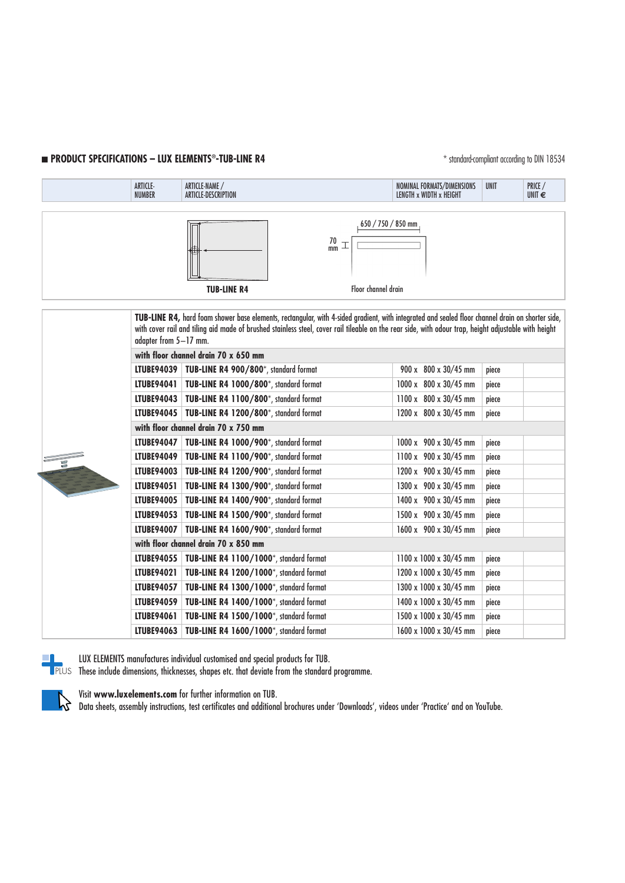## **n PRODUCT SPECIFICATIONS – LUX ELEMENTS®-TUB-LINE R4 and according to DIN 18534** to DIN 18534



|  | LIUBEY4U4 I                          | <b>TUB-LINE K4 TUUU/600</b> , standard format              | TUUU X 8UU X 3U/4 3 MM | piece |  |  |  |  |
|--|--------------------------------------|------------------------------------------------------------|------------------------|-------|--|--|--|--|
|  |                                      | LTUBE94043   TUB-LINE R4 1100/800*, standard format        | 1100 x 800 x 30/45 mm  | piece |  |  |  |  |
|  |                                      | <b>LTUBE94045</b>   TUB-LINE R4 1200/800*, standard format | 1200 x 800 x 30/45 mm  | piece |  |  |  |  |
|  | with floor channel drain 70 x 750 mm |                                                            |                        |       |  |  |  |  |
|  | LTUBE94047                           | TUB-LINE R4 1000/900*, standard format                     | 1000 x 900 x 30/45 mm  | piece |  |  |  |  |
|  | LTUBE94049                           | TUB-LINE R4 1100/900*, standard format                     | 1100 x 900 x 30/45 mm  | piece |  |  |  |  |
|  | LTUBE94003                           | TUB-LINE R4 1200/900*, standard format                     | 1200 x 900 x 30/45 mm  | piece |  |  |  |  |
|  | <b>LTUBE94051</b>                    | TUB-LINE R4 1300/900*, standard format                     | 1300 x 900 x 30/45 mm  | piece |  |  |  |  |
|  | LTUBE94005                           | TUB-LINE R4 1400/900*, standard format                     | 1400 x 900 x 30/45 mm  | piece |  |  |  |  |
|  | <b>LTUBE94053</b>                    | TUB-LINE R4 1500/900*, standard format                     | 1500 x 900 x 30/45 mm  | piece |  |  |  |  |
|  | LTUBE94007                           | TUB-LINE R4 1600/900*, standard format                     | 1600 x 900 x 30/45 mm  | piece |  |  |  |  |
|  | with floor channel drain 70 x 850 mm |                                                            |                        |       |  |  |  |  |
|  | <b>LTUBE94055</b>                    | TUB-LINE R4 1100/1000*, standard format                    | 1100 x 1000 x 30/45 mm | piece |  |  |  |  |
|  | LTUBE94021                           | TUB-LINE R4 1200/1000*, standard format                    | 1200 x 1000 x 30/45 mm | piece |  |  |  |  |
|  | <b>LTUBE94057</b>                    | TUB-LINE R4 1300/1000*, standard format                    | 1300 x 1000 x 30/45 mm | piece |  |  |  |  |
|  | LTUBE94059                           | TUB-LINE R4 1400/1000*, standard format                    | 1400 x 1000 x 30/45 mm | piece |  |  |  |  |
|  | <b>LTUBE94061</b>                    | TUB-LINE R4 1500/1000*, standard format                    | 1500 x 1000 x 30/45 mm | piece |  |  |  |  |
|  | LTUBE94063                           | TUB-LINE R4 1600/1000*, standard format                    | 1600 x 1000 x 30/45 mm | piece |  |  |  |  |
|  |                                      |                                                            |                        |       |  |  |  |  |



 $\gamma$ 

LUX ELEMENTS manufactures individual customised and special products for TUB. These include dimensions, thicknesses, shapes etc. that deviate from the standard programme.

Visit **www.luxelements.com** for further information on TUB.

Data sheets, assembly instructions, test certificates and additional brochures under 'Downloads', videos under 'Practice' and on YouTube.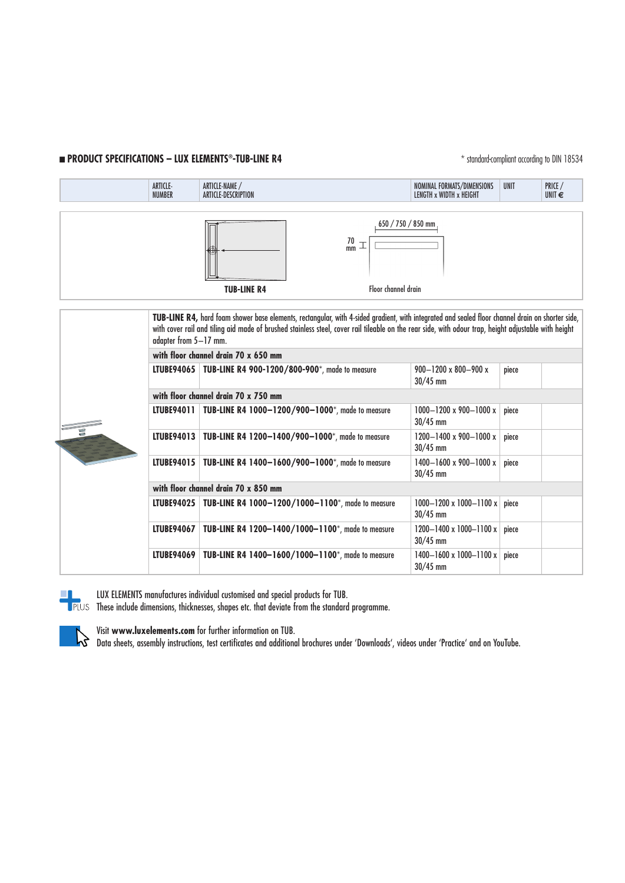## **n PRODUCT SPECIFICATIONS – LUX ELEMENTS<sup>®</sup>-TUB-LINE R4** \* \* standard-compliant according to DIN 18534

|  | ARTICLE-<br><b>NUMBER</b>                                                                                                                                                                                                                                                                                                         | ARTICLE-NAME /<br>ARTICLE-DESCRIPTION                         | NOMINAL FORMATS/DIMENSIONS<br>LENGTH x WIDTH x HEIGHT | <b>UNIT</b> | PRICE /<br>UNIT $\epsilon$ |  |  |  |
|--|-----------------------------------------------------------------------------------------------------------------------------------------------------------------------------------------------------------------------------------------------------------------------------------------------------------------------------------|---------------------------------------------------------------|-------------------------------------------------------|-------------|----------------------------|--|--|--|
|  |                                                                                                                                                                                                                                                                                                                                   |                                                               |                                                       |             |                            |  |  |  |
|  |                                                                                                                                                                                                                                                                                                                                   | $650 / 750 / 850$ mm<br>$\frac{70}{mm}$                       |                                                       |             |                            |  |  |  |
|  |                                                                                                                                                                                                                                                                                                                                   | <b>TUB-LINE R4</b><br>Floor channel drain                     |                                                       |             |                            |  |  |  |
|  |                                                                                                                                                                                                                                                                                                                                   |                                                               |                                                       |             |                            |  |  |  |
|  | TUB-LINE R4, hard foam shower base elements, rectangular, with 4-sided gradient, with integrated and sealed floor channel drain on shorter side,<br>with cover rail and tiling aid made of brushed stainless steel, cover rail tileable on the rear side, with odour trap, height adjustable with height<br>adapter from 5-17 mm. |                                                               |                                                       |             |                            |  |  |  |
|  | with floor channel drain 70 x 650 mm                                                                                                                                                                                                                                                                                              |                                                               |                                                       |             |                            |  |  |  |
|  |                                                                                                                                                                                                                                                                                                                                   | LTUBE94065   TUB-LINE R4 900-1200/800-900*, made to measure   | $900 - 1200 \times 800 - 900 \times$<br>$30/45$ mm    | piece       |                            |  |  |  |
|  | with floor channel drain 70 x 750 mm                                                                                                                                                                                                                                                                                              |                                                               |                                                       |             |                            |  |  |  |
|  | LTUBE94011                                                                                                                                                                                                                                                                                                                        | TUB-LINE R4 1000-1200/900-1000*, made to measure              | $1000 - 1200 \times 900 - 1000 \times$<br>$30/45$ mm  | piece       |                            |  |  |  |
|  |                                                                                                                                                                                                                                                                                                                                   | LTUBE94013   TUB-LINE R4 1200-1400/900-1000*, made to measure | $1200 - 1400 \times 900 - 1000 \times$<br>$30/45$ mm  | piece       |                            |  |  |  |
|  | <b>LTUBE94015</b>                                                                                                                                                                                                                                                                                                                 | TUB-LINE R4 1400-1600/900-1000*, made to measure              | $1400 - 1600 \times 900 - 1000 \times$<br>$30/45$ mm  | piece       |                            |  |  |  |
|  | with floor channel drain 70 x 850 mm                                                                                                                                                                                                                                                                                              |                                                               |                                                       |             |                            |  |  |  |
|  | <b>LTUBE94025</b>                                                                                                                                                                                                                                                                                                                 | TUB-LINE R4 1000-1200/1000-1100*, made to measure             | $1000 - 1200 \times 1000 - 1100 \times$<br>$30/45$ mm | piece       |                            |  |  |  |
|  | <b>LTUBE94067</b>                                                                                                                                                                                                                                                                                                                 | TUB-LINE R4 1200-1400/1000-1100*, made to measure             | 1200-1400 x 1000-1100 x<br>$30/45$ mm                 | piece       |                            |  |  |  |



LUX ELEMENTS manufactures individual customised and special products for TUB.

These include dimensions, thicknesses, shapes etc. that deviate from the standard programme.

 $30/45$  mm



Visit **www.luxelements.com** for further information on TUB.

Data sheets, assembly instructions, test certificates and additional brochures under 'Downloads', videos under 'Practice' and on YouTube.

**LTUBE94069 TUB-LINE R4 1400–1600/1000–1100**\*, made to measure 1400–1600 x 1000–1100 x piece<br>30/45 mm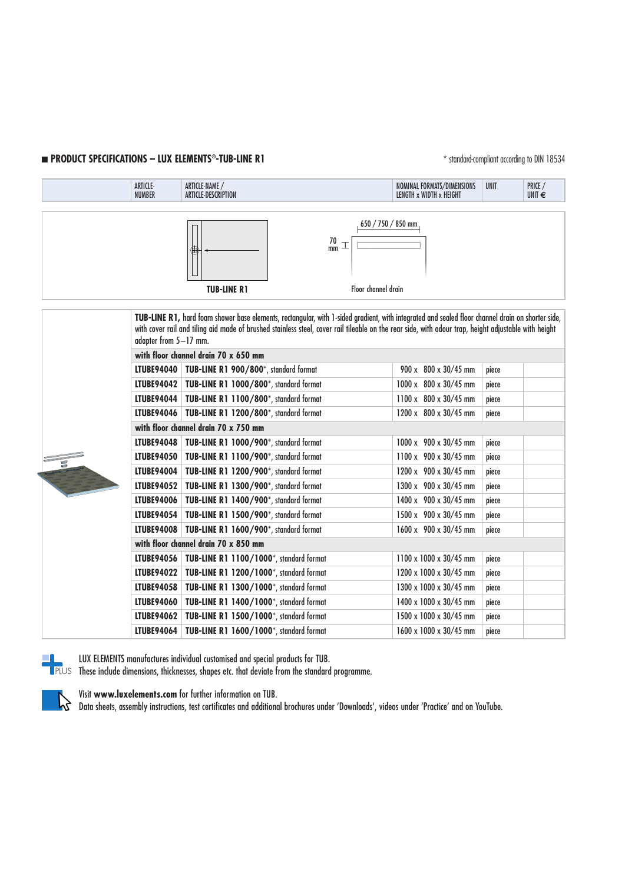## **n PRODUCT SPECIFICATIONS – LUX ELEMENTS®-TUB-LINE R1 and according to DIN 18534** to DIN 18534

|  |                   | <b>ARTICLE-</b><br><b>NUMBER</b>       | ARTICLE-NAME /<br>ARTICLE-DESCRIPTION               |                                                                                                                                                                                                                                                                                                          |                                   | NOMINAL FORMATS/DIMENSIONS<br>LENGTH x WIDTH x HEIGHT | <b>UNIT</b> | PRICE /<br>UNIT $\epsilon$ |  |
|--|-------------------|----------------------------------------|-----------------------------------------------------|----------------------------------------------------------------------------------------------------------------------------------------------------------------------------------------------------------------------------------------------------------------------------------------------------------|-----------------------------------|-------------------------------------------------------|-------------|----------------------------|--|
|  |                   |                                        |                                                     |                                                                                                                                                                                                                                                                                                          |                                   |                                                       |             |                            |  |
|  |                   |                                        |                                                     | $\frac{70}{mm}$                                                                                                                                                                                                                                                                                          | $650 / 750 / 850$ mm              |                                                       |             |                            |  |
|  |                   |                                        | <b>TUB-LINE R1</b>                                  |                                                                                                                                                                                                                                                                                                          | Floor channel drain               |                                                       |             |                            |  |
|  |                   |                                        |                                                     |                                                                                                                                                                                                                                                                                                          |                                   |                                                       |             |                            |  |
|  |                   | adapter from 5-17 mm.                  |                                                     | TUB-LINE R1, hard foam shower base elements, rectangular, with 1-sided gradient, with integrated and sealed floor channel drain on shorter side,<br>with cover rail and tiling aid made of brushed stainless steel, cover rail tileable on the rear side, with odour trap, height adjustable with height |                                   |                                                       |             |                            |  |
|  |                   | with floor channel drain 70 x 650 mm   |                                                     |                                                                                                                                                                                                                                                                                                          |                                   |                                                       |             |                            |  |
|  |                   | <b>LTUBE94040</b>                      | TUB-LINE R1 900/800*, standard format               |                                                                                                                                                                                                                                                                                                          |                                   | $900 \times 800 \times 30/45$ mm                      | piece       |                            |  |
|  |                   |                                        | LTUBE94042   TUB-LINE R1 1000/800*, standard format |                                                                                                                                                                                                                                                                                                          |                                   | 1000 x 800 x 30/45 mm                                 | piece       |                            |  |
|  |                   | LTUBE94044                             | TUB-LINE R1 1100/800*, standard format              |                                                                                                                                                                                                                                                                                                          |                                   | 1100 x 800 x 30/45 mm                                 | piece       |                            |  |
|  |                   | LTUBE94046                             | TUB-LINE R1 1200/800*, standard format              |                                                                                                                                                                                                                                                                                                          |                                   | $1200 \times 800 \times 30/45$ mm                     | piece       |                            |  |
|  |                   |                                        | with floor channel drain 70 x 750 mm                |                                                                                                                                                                                                                                                                                                          |                                   |                                                       |             |                            |  |
|  |                   | <b>LTUBE94048</b>                      | TUB-LINE R1 1000/900*, standard format              |                                                                                                                                                                                                                                                                                                          |                                   | 1000 x 900 x 30/45 mm                                 | piece       |                            |  |
|  | <b>LTUBE94050</b> | TUB-LINE R1 1100/900*, standard format |                                                     |                                                                                                                                                                                                                                                                                                          | $1100 \times 900 \times 30/45$ mm | piece                                                 |             |                            |  |
|  |                   | <b>LTUBE94004</b>                      | TUB-LINE R1 1200/900*, standard format              |                                                                                                                                                                                                                                                                                                          |                                   | $1200 \times 900 \times 30/45$ mm                     | piece       |                            |  |
|  |                   | <b>LTUBE94052</b>                      | TUB-LINE R1 1300/900*, standard format              |                                                                                                                                                                                                                                                                                                          |                                   | 1300 x 900 x 30/45 mm                                 | piece       |                            |  |
|  |                   | <b>LTUBE94006</b>                      | TUB-LINE R1 1400/900*, standard format              |                                                                                                                                                                                                                                                                                                          |                                   | 1400 x 900 x 30/45 mm                                 | piece       |                            |  |
|  |                   | <b>LTUBE94054</b>                      | TUB-LINE R1 1500/900*, standard format              |                                                                                                                                                                                                                                                                                                          |                                   | 1500 x 900 x 30/45 mm                                 | piece       |                            |  |
|  | LTUBE94008        | TUB-LINE R1 1600/900*, standard format |                                                     |                                                                                                                                                                                                                                                                                                          | 1600 x 900 x 30/45 mm             | piece                                                 |             |                            |  |
|  |                   |                                        |                                                     |                                                                                                                                                                                                                                                                                                          |                                   |                                                       |             |                            |  |





 $\mathbf{b}$ 

LUX ELEMENTS manufactures individual customised and special products for TUB. These include dimensions, thicknesses, shapes etc. that deviate from the standard programme.

Visit **www.luxelements.com** for further information on TUB.

Data sheets, assembly instructions, test certificates and additional brochures under 'Downloads', videos under 'Practice' and on YouTube.